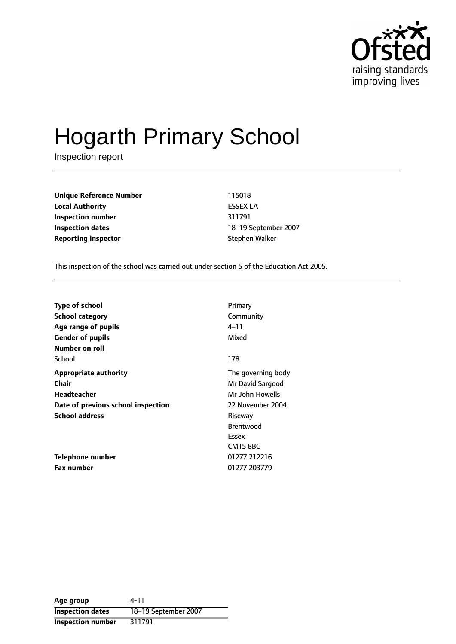

# Hogarth Primary School

Inspection report

**Unique Reference Number** 115018 **Local Authority** ESSEX LA **Inspection number** 311791 **Inspection dates** 18-19 September 2007 **Reporting inspector** Stephen Walker

This inspection of the school was carried out under section 5 of the Education Act 2005.

| <b>Type of school</b>              | Primary            |
|------------------------------------|--------------------|
| <b>School category</b>             | Community          |
| Age range of pupils                | 4–11               |
| <b>Gender of pupils</b>            | Mixed              |
| Number on roll                     |                    |
| School                             | 178                |
| <b>Appropriate authority</b>       | The governing body |
| <b>Chair</b>                       | Mr David Sargood   |
| Headteacher                        | Mr John Howells    |
| Date of previous school inspection | 22 November 2004   |
| <b>School address</b>              | Riseway            |
|                                    | <b>Brentwood</b>   |
|                                    | Essex              |
|                                    | <b>CM15 8BG</b>    |
| Telephone number                   | 01277 212216       |
| <b>Fax number</b>                  | 01277 203779       |

**Age group** 4-11 **Inspection dates** 18-19 September 2007 **Inspection number** 311791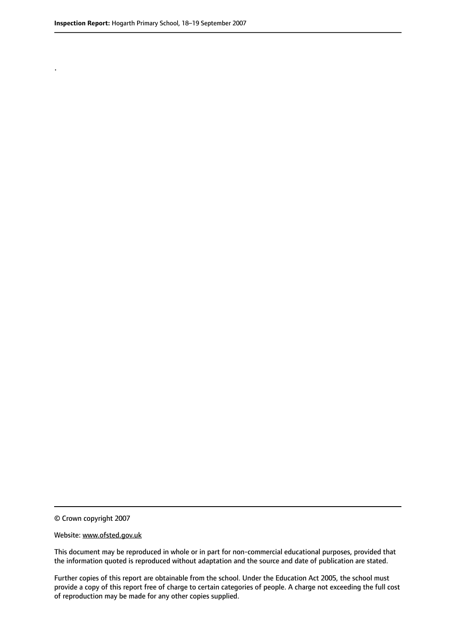.

© Crown copyright 2007

#### Website: www.ofsted.gov.uk

This document may be reproduced in whole or in part for non-commercial educational purposes, provided that the information quoted is reproduced without adaptation and the source and date of publication are stated.

Further copies of this report are obtainable from the school. Under the Education Act 2005, the school must provide a copy of this report free of charge to certain categories of people. A charge not exceeding the full cost of reproduction may be made for any other copies supplied.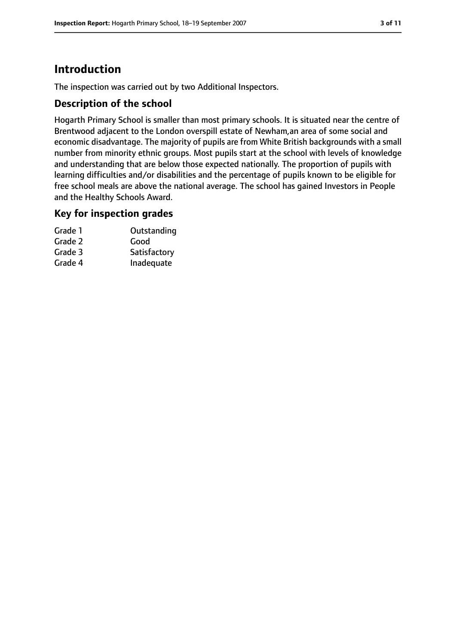# **Introduction**

The inspection was carried out by two Additional Inspectors.

#### **Description of the school**

Hogarth Primary School is smaller than most primary schools. It is situated near the centre of Brentwood adjacent to the London overspill estate of Newham,an area of some social and economic disadvantage. The majority of pupils are from White British backgrounds with a small number from minority ethnic groups. Most pupils start at the school with levels of knowledge and understanding that are below those expected nationally. The proportion of pupils with learning difficulties and/or disabilities and the percentage of pupils known to be eligible for free school meals are above the national average. The school has gained Investors in People and the Healthy Schools Award.

#### **Key for inspection grades**

| Grade 1 | Outstanding  |
|---------|--------------|
| Grade 2 | Good         |
| Grade 3 | Satisfactory |
| Grade 4 | Inadequate   |
|         |              |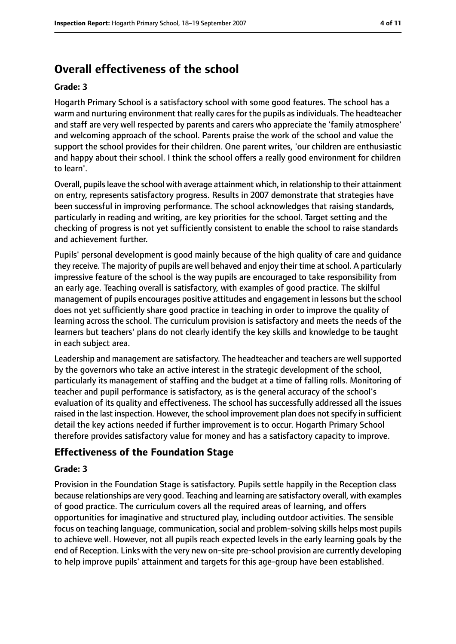# **Overall effectiveness of the school**

#### **Grade: 3**

Hogarth Primary School is a satisfactory school with some good features. The school has a warm and nurturing environment that really cares for the pupils as individuals. The headteacher and staff are very well respected by parents and carers who appreciate the 'family atmosphere' and welcoming approach of the school. Parents praise the work of the school and value the support the school provides for their children. One parent writes, 'our children are enthusiastic and happy about their school. I think the school offers a really good environment for children to learn'.

Overall, pupilsleave the school with average attainment which, in relationship to their attainment on entry, represents satisfactory progress. Results in 2007 demonstrate that strategies have been successful in improving performance. The school acknowledges that raising standards, particularly in reading and writing, are key priorities for the school. Target setting and the checking of progress is not yet sufficiently consistent to enable the school to raise standards and achievement further.

Pupils' personal development is good mainly because of the high quality of care and guidance they receive. The majority of pupils are well behaved and enjoy their time at school. A particularly impressive feature of the school is the way pupils are encouraged to take responsibility from an early age. Teaching overall is satisfactory, with examples of good practice. The skilful management of pupils encourages positive attitudes and engagement in lessons but the school does not yet sufficiently share good practice in teaching in order to improve the quality of learning across the school. The curriculum provision is satisfactory and meets the needs of the learners but teachers' plans do not clearly identify the key skills and knowledge to be taught in each subject area.

Leadership and management are satisfactory. The headteacher and teachers are well supported by the governors who take an active interest in the strategic development of the school, particularly its management of staffing and the budget at a time of falling rolls. Monitoring of teacher and pupil performance is satisfactory, as is the general accuracy of the school's evaluation of its quality and effectiveness. The school has successfully addressed all the issues raised in the last inspection. However, the school improvement plan does not specify in sufficient detail the key actions needed if further improvement is to occur. Hogarth Primary School therefore provides satisfactory value for money and has a satisfactory capacity to improve.

## **Effectiveness of the Foundation Stage**

#### **Grade: 3**

Provision in the Foundation Stage is satisfactory. Pupils settle happily in the Reception class because relationships are very good. Teaching and learning are satisfactory overall, with examples of good practice. The curriculum covers all the required areas of learning, and offers opportunities for imaginative and structured play, including outdoor activities. The sensible focus on teaching language, communication, social and problem-solving skills helps most pupils to achieve well. However, not all pupils reach expected levels in the early learning goals by the end of Reception. Links with the very new on-site pre-school provision are currently developing to help improve pupils' attainment and targets for this age-group have been established.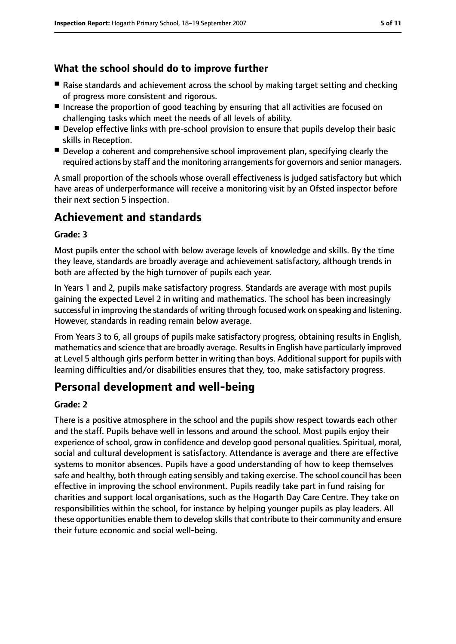## **What the school should do to improve further**

- Raise standards and achievement across the school by making target setting and checking of progress more consistent and rigorous.
- Increase the proportion of good teaching by ensuring that all activities are focused on challenging tasks which meet the needs of all levels of ability.
- Develop effective links with pre-school provision to ensure that pupils develop their basic skills in Reception.
- Develop a coherent and comprehensive school improvement plan, specifying clearly the required actions by staff and the monitoring arrangements for governors and senior managers.

A small proportion of the schools whose overall effectiveness is judged satisfactory but which have areas of underperformance will receive a monitoring visit by an Ofsted inspector before their next section 5 inspection.

## **Achievement and standards**

#### **Grade: 3**

Most pupils enter the school with below average levels of knowledge and skills. By the time they leave, standards are broadly average and achievement satisfactory, although trends in both are affected by the high turnover of pupils each year.

In Years 1 and 2, pupils make satisfactory progress. Standards are average with most pupils gaining the expected Level 2 in writing and mathematics. The school has been increasingly successful in improving the standards of writing through focused work on speaking and listening. However, standards in reading remain below average.

From Years 3 to 6, all groups of pupils make satisfactory progress, obtaining results in English, mathematics and science that are broadly average. Resultsin English have particularly improved at Level 5 although girls perform better in writing than boys. Additional support for pupils with learning difficulties and/or disabilities ensures that they, too, make satisfactory progress.

## **Personal development and well-being**

#### **Grade: 2**

There is a positive atmosphere in the school and the pupils show respect towards each other and the staff. Pupils behave well in lessons and around the school. Most pupils enjoy their experience of school, grow in confidence and develop good personal qualities. Spiritual, moral, social and cultural development is satisfactory. Attendance is average and there are effective systems to monitor absences. Pupils have a good understanding of how to keep themselves safe and healthy, both through eating sensibly and taking exercise. The school council has been effective in improving the school environment. Pupils readily take part in fund raising for charities and support local organisations, such as the Hogarth Day Care Centre. They take on responsibilities within the school, for instance by helping younger pupils as play leaders. All these opportunities enable them to develop skills that contribute to their community and ensure their future economic and social well-being.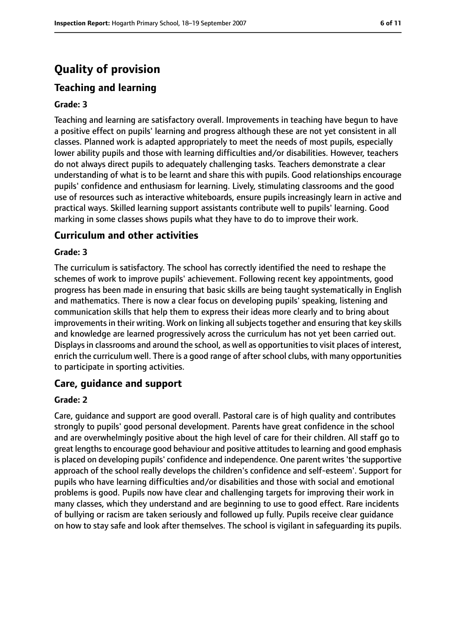# **Quality of provision**

## **Teaching and learning**

#### **Grade: 3**

Teaching and learning are satisfactory overall. Improvements in teaching have begun to have a positive effect on pupils' learning and progress although these are not yet consistent in all classes. Planned work is adapted appropriately to meet the needs of most pupils, especially lower ability pupils and those with learning difficulties and/or disabilities. However, teachers do not always direct pupils to adequately challenging tasks. Teachers demonstrate a clear understanding of what is to be learnt and share this with pupils. Good relationships encourage pupils' confidence and enthusiasm for learning. Lively, stimulating classrooms and the good use of resources such as interactive whiteboards, ensure pupils increasingly learn in active and practical ways. Skilled learning support assistants contribute well to pupils' learning. Good marking in some classes shows pupils what they have to do to improve their work.

#### **Curriculum and other activities**

#### **Grade: 3**

The curriculum is satisfactory. The school has correctly identified the need to reshape the schemes of work to improve pupils' achievement. Following recent key appointments, good progress has been made in ensuring that basic skills are being taught systematically in English and mathematics. There is now a clear focus on developing pupils' speaking, listening and communication skills that help them to express their ideas more clearly and to bring about improvements in their writing. Work on linking all subjects together and ensuring that key skills and knowledge are learned progressively across the curriculum has not yet been carried out. Displays in classrooms and around the school, as well as opportunities to visit places of interest, enrich the curriculum well. There is a good range of after school clubs, with many opportunities to participate in sporting activities.

### **Care, guidance and support**

#### **Grade: 2**

Care, guidance and support are good overall. Pastoral care is of high quality and contributes strongly to pupils' good personal development. Parents have great confidence in the school and are overwhelmingly positive about the high level of care for their children. All staff go to great lengths to encourage good behaviour and positive attitudes to learning and good emphasis is placed on developing pupils' confidence and independence. One parent writes 'the supportive approach of the school really develops the children's confidence and self-esteem'. Support for pupils who have learning difficulties and/or disabilities and those with social and emotional problems is good. Pupils now have clear and challenging targets for improving their work in many classes, which they understand and are beginning to use to good effect. Rare incidents of bullying or racism are taken seriously and followed up fully. Pupils receive clear guidance on how to stay safe and look after themselves. The school is vigilant in safeguarding its pupils.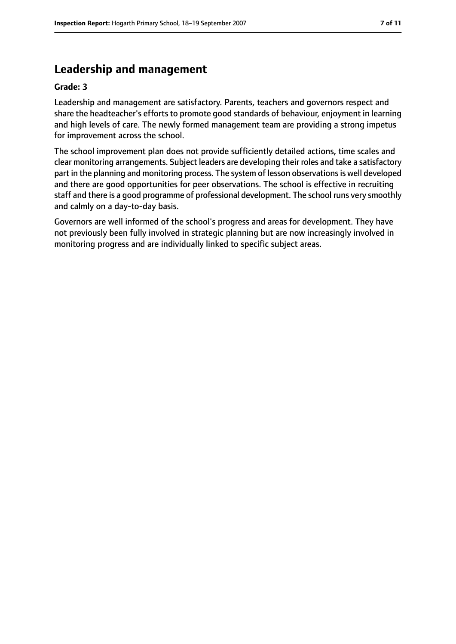# **Leadership and management**

#### **Grade: 3**

Leadership and management are satisfactory. Parents, teachers and governors respect and share the headteacher's efforts to promote good standards of behaviour, enjoyment in learning and high levels of care. The newly formed management team are providing a strong impetus for improvement across the school.

The school improvement plan does not provide sufficiently detailed actions, time scales and clear monitoring arrangements. Subject leaders are developing their roles and take a satisfactory part in the planning and monitoring process. The system of lesson observations is well developed and there are good opportunities for peer observations. The school is effective in recruiting staff and there is a good programme of professional development. The school runs very smoothly and calmly on a day-to-day basis.

Governors are well informed of the school's progress and areas for development. They have not previously been fully involved in strategic planning but are now increasingly involved in monitoring progress and are individually linked to specific subject areas.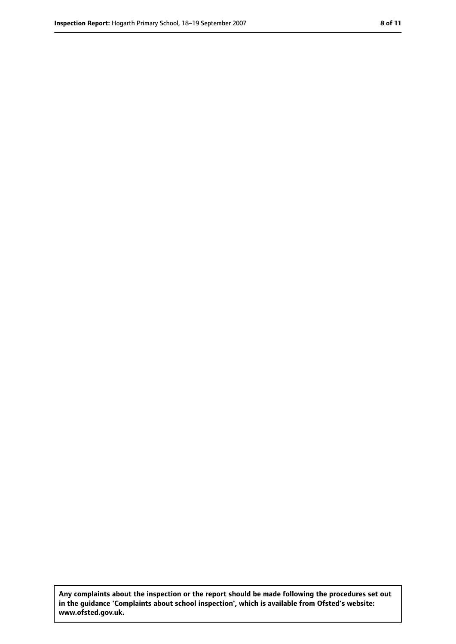**Any complaints about the inspection or the report should be made following the procedures set out in the guidance 'Complaints about school inspection', which is available from Ofsted's website: www.ofsted.gov.uk.**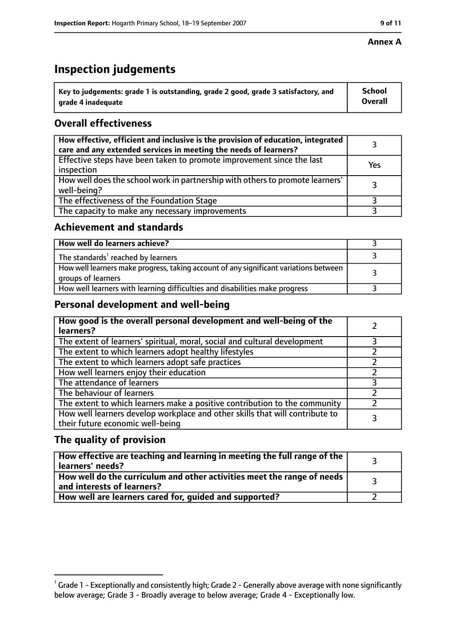#### **Annex A**

# **Inspection judgements**

| $^{\backprime}$ Key to judgements: grade 1 is outstanding, grade 2 good, grade 3 satisfactory, and | <b>School</b>  |
|----------------------------------------------------------------------------------------------------|----------------|
| arade 4 inadequate                                                                                 | <b>Overall</b> |

## **Overall effectiveness**

| How effective, efficient and inclusive is the provision of education, integrated<br>care and any extended services in meeting the needs of learners? |     |
|------------------------------------------------------------------------------------------------------------------------------------------------------|-----|
| Effective steps have been taken to promote improvement since the last<br>inspection                                                                  | Yes |
| How well does the school work in partnership with others to promote learners'<br>well-being?                                                         |     |
| The effectiveness of the Foundation Stage                                                                                                            |     |
| The capacity to make any necessary improvements                                                                                                      |     |

### **Achievement and standards**

| How well do learners achieve?                                                                               |  |
|-------------------------------------------------------------------------------------------------------------|--|
| The standards <sup>1</sup> reached by learners                                                              |  |
| How well learners make progress, taking account of any significant variations between<br>groups of learners |  |
| How well learners with learning difficulties and disabilities make progress                                 |  |

## **Personal development and well-being**

| How good is the overall personal development and well-being of the<br>learners?                                  |  |
|------------------------------------------------------------------------------------------------------------------|--|
| The extent of learners' spiritual, moral, social and cultural development                                        |  |
| The extent to which learners adopt healthy lifestyles                                                            |  |
| The extent to which learners adopt safe practices                                                                |  |
| How well learners enjoy their education                                                                          |  |
| The attendance of learners                                                                                       |  |
| The behaviour of learners                                                                                        |  |
| The extent to which learners make a positive contribution to the community                                       |  |
| How well learners develop workplace and other skills that will contribute to<br>their future economic well-being |  |

## **The quality of provision**

| How effective are teaching and learning in meeting the full range of the<br>learners' needs?          |  |
|-------------------------------------------------------------------------------------------------------|--|
| How well do the curriculum and other activities meet the range of needs<br>and interests of learners? |  |
| How well are learners cared for, guided and supported?                                                |  |

 $^1$  Grade 1 - Exceptionally and consistently high; Grade 2 - Generally above average with none significantly below average; Grade 3 - Broadly average to below average; Grade 4 - Exceptionally low.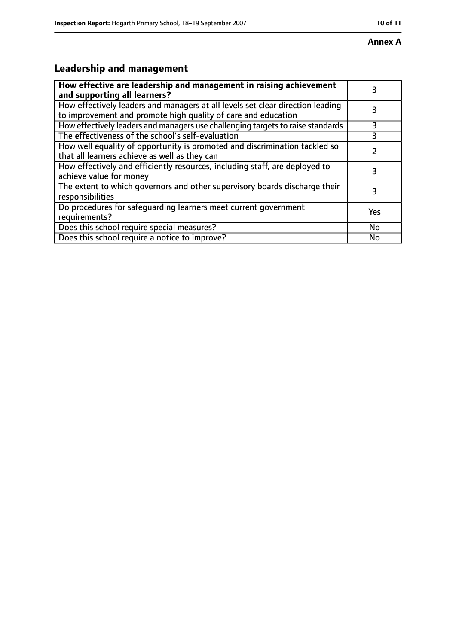# **Leadership and management**

| How effective are leadership and management in raising achievement<br>and supporting all learners?                                              | 3         |
|-------------------------------------------------------------------------------------------------------------------------------------------------|-----------|
| How effectively leaders and managers at all levels set clear direction leading<br>to improvement and promote high quality of care and education |           |
| How effectively leaders and managers use challenging targets to raise standards                                                                 | 3         |
| The effectiveness of the school's self-evaluation                                                                                               | 3         |
| How well equality of opportunity is promoted and discrimination tackled so<br>that all learners achieve as well as they can                     |           |
| How effectively and efficiently resources, including staff, are deployed to<br>achieve value for money                                          | 3         |
| The extent to which governors and other supervisory boards discharge their<br>responsibilities                                                  | 3         |
| Do procedures for safequarding learners meet current government<br>requirements?                                                                | Yes       |
| Does this school require special measures?                                                                                                      | <b>No</b> |
| Does this school require a notice to improve?                                                                                                   | No        |